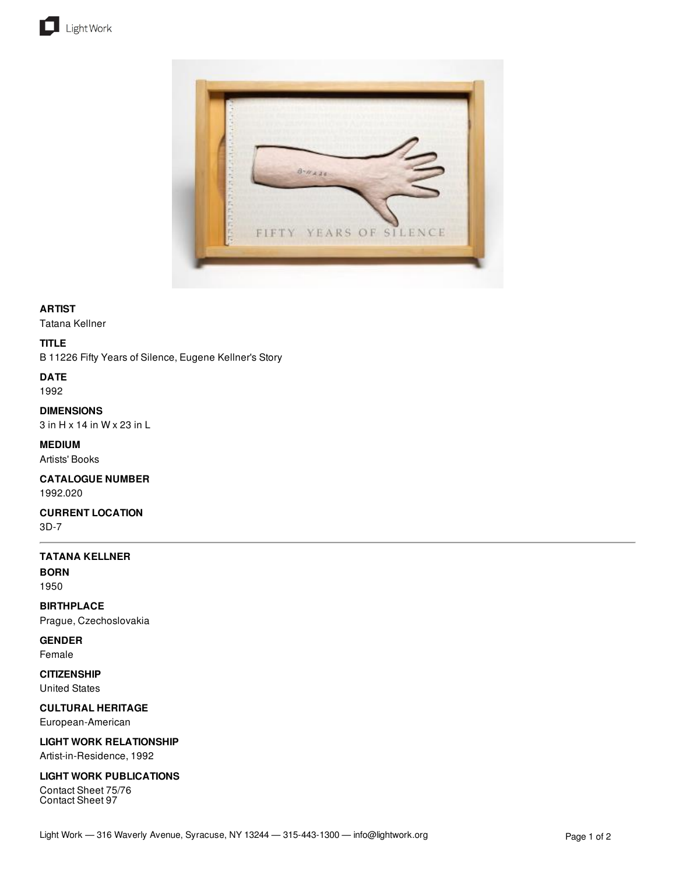



## **ARTIST**

Tatana Kellner

### **TITLE**

B 11226 Fifty Years of Silence, Eugene Kellner's Story

# **DATE**

1992

**DIMENSIONS** 3 in H x 14 in W x 23 in L

**MEDIUM** Artists' Books

**CATALOGUE NUMBER** 1992.020

**CURRENT LOCATION** 3D-7

## **TATANA KELLNER**

**BORN** 1950

**BIRTHPLACE** Prague, Czechoslovakia

## **GENDER**

Female

**CITIZENSHIP** United States

**CULTURAL HERITAGE** European-American

**LIGHT WORK RELATIONSHIP**

Artist-in-Residence, 1992

## **LIGHT WORK PUBLICATIONS**

Contact Sheet 75/76 Contact Sheet 97